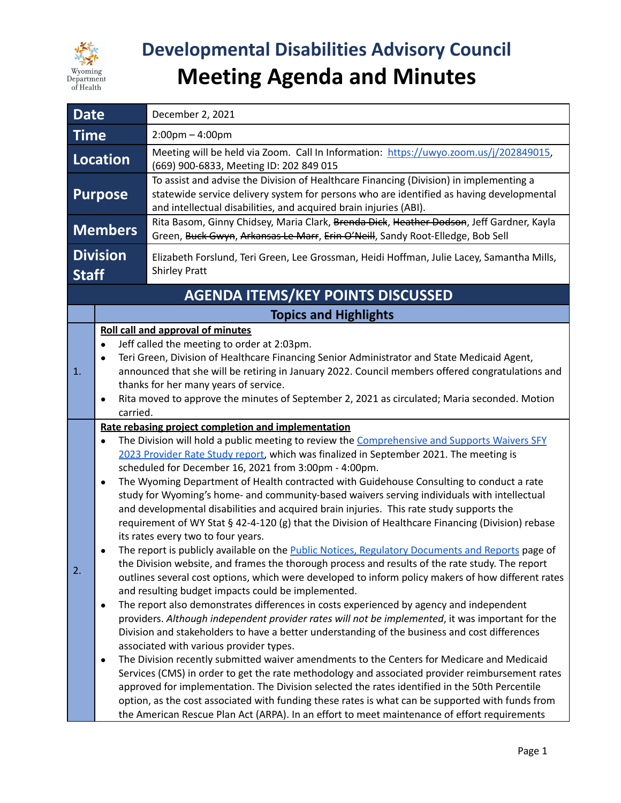

## **Developmental Disabilities Advisory Council Meeting Agenda and Minutes**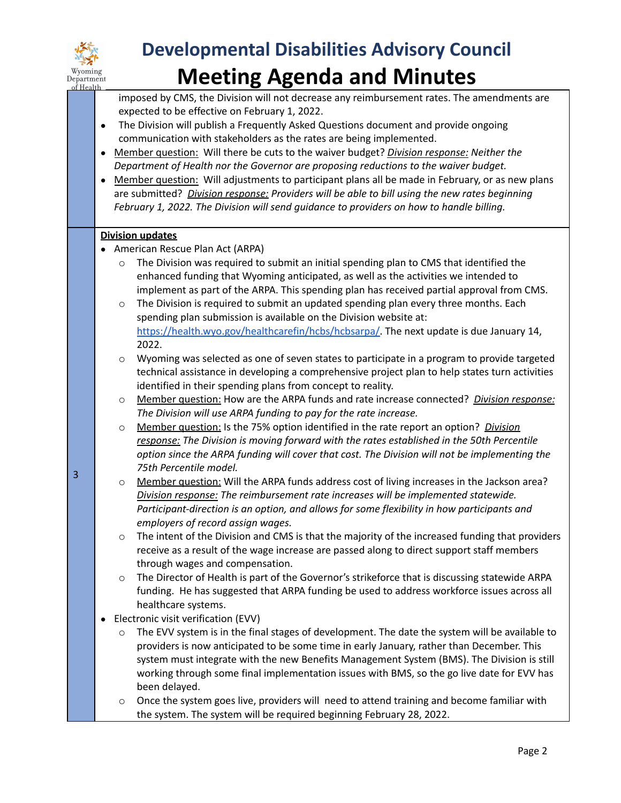

3

## **Developmental Disabilities Advisory Council Meeting Agenda and Minutes**

imposed by CMS, the Division will not decrease any reimbursement rates. The amendments are expected to be effective on February 1, 2022.

- The Division will publish a Frequently Asked Questions document and provide ongoing communication with stakeholders as the rates are being implemented.
- Member question: Will there be cuts to the waiver budget? *Division response: Neither the Department of Health nor the Governor are proposing reductions to the waiver budget.*
- *●* Member question: Will adjustments to participant plans all be made in February, or as new plans are submitted? *Division response: Providers will be able to bill using the new rates beginning February 1, 2022. The Division will send guidance to providers on how to handle billing.*

## **Division updates**

- American Rescue Plan Act (ARPA)
	- $\circ$  The Division was required to submit an initial spending plan to CMS that identified the enhanced funding that Wyoming anticipated, as well as the activities we intended to implement as part of the ARPA. This spending plan has received partial approval from CMS.
	- $\circ$  The Division is required to submit an updated spending plan every three months. Each spending plan submission is available on the Division website at: [https://health.wyo.gov/healthcarefin/hcbs/hcbsarpa/.](https://health.wyo.gov/healthcarefin/hcbs/hcbsarpa/) The next update is due January 14, 2022.
	- $\circ$  Wyoming was selected as one of seven states to participate in a program to provide targeted technical assistance in developing a comprehensive project plan to help states turn activities identified in their spending plans from concept to reality.
	- o Member question: How are the ARPA funds and rate increase connected? *Division response: The Division will use ARPA funding to pay for the rate increase.*
	- o Member question: Is the 75% option identified in the rate report an option? *Division response: The Division is moving forward with the rates established in the 50th Percentile option since the ARPA funding will cover that cost. The Division will not be implementing the 75th Percentile model.*
	- o Member question: Will the ARPA funds address cost of living increases in the Jackson area? *Division response: The reimbursement rate increases will be implemented statewide. Participant-direction is an option, and allows for some flexibility in how participants and employers of record assign wages.*
	- $\circ$  The intent of the Division and CMS is that the majority of the increased funding that providers receive as a result of the wage increase are passed along to direct support staff members through wages and compensation.
	- The Director of Health is part of the Governor's strikeforce that is discussing statewide ARPA funding. He has suggested that ARPA funding be used to address workforce issues across all healthcare systems.
- Electronic visit verification (EVV)
	- The EVV system is in the final stages of development. The date the system will be available to providers is now anticipated to be some time in early January, rather than December. This system must integrate with the new Benefits Management System (BMS). The Division is still working through some final implementation issues with BMS, so the go live date for EVV has been delayed.
	- Once the system goes live, providers will need to attend training and become familiar with the system. The system will be required beginning February 28, 2022.